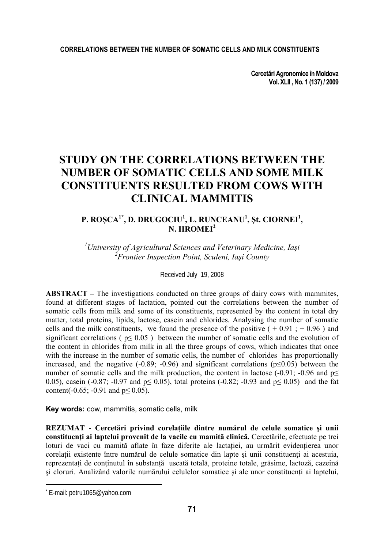### **CORRELATIONS BETWEEN THE NUMBER OF SOMATIC CELLS AND MILK CONSTITUENTS**

**Cercetări Agronomice în Moldova Vol. XLII , No. 1 (137) / 2009** 

# **STUDY ON THE CORRELATIONS BETWEEN THE NUMBER OF SOMATIC CELLS AND SOME MILK CONSTITUENTS RESULTED FROM COWS WITH CLINICAL MAMMITIS**

### **P. ROŞCA1\*, D. DRUGOCIU1 , L. RUNCEANU<sup>1</sup> , Şt. CIORNEI1 , N. HROMEI<sup>2</sup>**

*1 University of Agricultural Sciences and Veterinary Medicine, Iaşi 2 Frontier Inspection Point, Sculeni, Iaşi County* 

Received July 19, 2008

**ABSTRACT –** The investigations conducted on three groups of dairy cows with mammites, found at different stages of lactation, pointed out the correlations between the number of somatic cells from milk and some of its constituents, represented by the content in total dry matter, total proteins, lipids, lactose, casein and chlorides. Analysing the number of somatic cells and the milk constituents, we found the presence of the positive  $(+0.91; +0.96)$  and significant correlations ( $p \le 0.05$ ) between the number of somatic cells and the evolution of the content in chlorides from milk in all the three groups of cows, which indicates that once with the increase in the number of somatic cells, the number of chlorides has proportionally increased, and the negative  $(-0.89; -0.96)$  and significant correlations  $(p \le 0.05)$  between the number of somatic cells and the milk production, the content in lactose (-0.91; -0.96 and  $p \le$ 0.05), casein (-0.87; -0.97 and  $p \le 0.05$ ), total proteins (-0.82; -0.93 and  $p \le 0.05$ ) and the fat content(-0.65; -0.91 and  $p \le 0.05$ ).

**Key words:** cow, mammitis, somatic cells, milk

**REZUMAT - Cercetări privind corelaţiile dintre numărul de celule somatice şi unii constituenţi ai laptelui provenit de la vacile cu mamită clinică.** Cercetările, efectuate pe trei loturi de vaci cu mamită aflate în faze diferite ale lactatiei, au urmărit evidentierea unor corelatii existente între numărul de celule somatice din lapte și unii constituenți ai acestuia, reprezentați de conținutul în substanță uscată totală, proteine totale, grăsime, lactoză, cazeină si cloruri. Analizând valorile numărului celulelor somatice și ale unor constituenti ai laptelui,

 $\overline{\phantom{a}}$ 

<sup>\*</sup> E-mail: petru1065@yahoo.com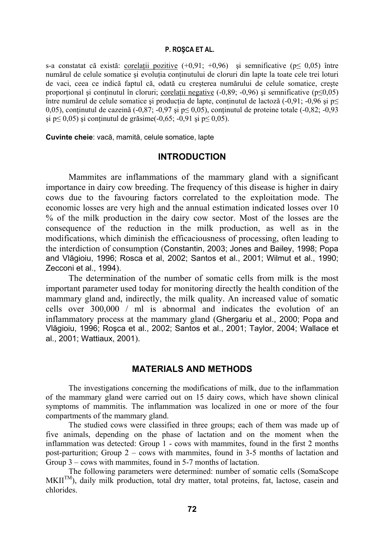#### **P. ROŞCA ET AL.**

s-a constatat că există: corelații pozitive  $(+0.91; +0.96)$  și semnificative (p $\leq 0.05$ ) între numărul de celule somatice și evolutia continutului de cloruri din lapte la toate cele trei loturi de vaci, ceea ce indică faptul că, odată cu creşterea numărului de celule somatice, creşte proportional și conținutul în cloruri; corelații negative  $(-0.89; -0.96)$  și semnificative ( $p \le 0.05$ ) între numărul de celule somatice și producția de lapte, conținutul de lactoză (-0,91; -0,96 și p $\leq$ 0.05), continutul de cazeină (-0,87; -0,97 și p $\leq$  0,05), conținutul de proteine totale (-0,82; -0,93  $\text{si }$  p≤ 0,05) si continutul de grăsime(-0,65; -0,91 si p≤ 0,05).

**Cuvinte cheie**: vacă, mamită, celule somatice, lapte

### **INTRODUCTION**

Mammites are inflammations of the mammary gland with a significant importance in dairy cow breeding. The frequency of this disease is higher in dairy cows due to the favouring factors correlated to the exploitation mode. The economic losses are very high and the annual estimation indicated losses over 10 % of the milk production in the dairy cow sector. Most of the losses are the consequence of the reduction in the milk production, as well as in the modifications, which diminish the efficaciousness of processing, often leading to the interdiction of consumption (Constantin, 2003; Jones and Bailey, 1998; Popa and Vlăgioiu, 1996; Rosca et al, 2002; Santos et al., 2001; Wilmut et al., 1990; Zecconi et al., 1994).

The determination of the number of somatic cells from milk is the most important parameter used today for monitoring directly the health condition of the mammary gland and, indirectly, the milk quality. An increased value of somatic cells over 300,000 / ml is abnormal and indicates the evolution of an inflammatory process at the mammary gland (Ghergariu et al., 2000; Popa and Vlăgioiu, 1996; Roşca et al., 2002; Santos et al., 2001; Taylor, 2004; Wallace et al., 2001; Wattiaux, 2001).

# **MATERIALS AND METHODS**

The investigations concerning the modifications of milk, due to the inflammation of the mammary gland were carried out on 15 dairy cows, which have shown clinical symptoms of mammitis. The inflammation was localized in one or more of the four compartments of the mammary gland.

The studied cows were classified in three groups; each of them was made up of five animals, depending on the phase of lactation and on the moment when the inflammation was detected: Group 1 - cows with mammites, found in the first 2 months post-parturition; Group 2 – cows with mammites, found in 3-5 months of lactation and Group 3 – cows with mammites, found in 5-7 months of lactation.

The following parameters were determined: number of somatic cells (SomaScope MKII<sup>TM</sup>), daily milk production, total dry matter, total proteins, fat, lactose, casein and chlorides.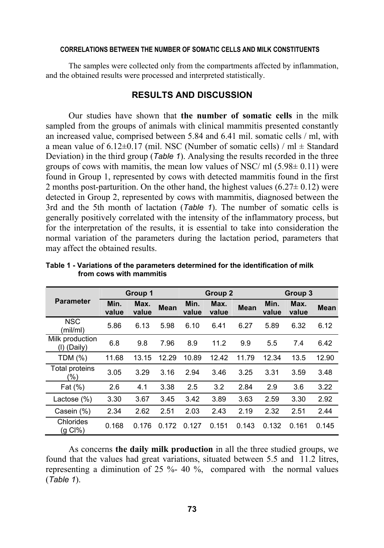#### **CORRELATIONS BETWEEN THE NUMBER OF SOMATIC CELLS AND MILK CONSTITUENTS**

The samples were collected only from the compartments affected by inflammation, and the obtained results were processed and interpreted statistically.

## **RESULTS AND DISCUSSION**

Our studies have shown that **the number of somatic cells** in the milk sampled from the groups of animals with clinical mammitis presented constantly an increased value, comprised between 5.84 and 6.41 mil. somatic cells / ml, with a mean value of  $6.12\pm0.17$  (mil. NSC (Number of somatic cells) / ml  $\pm$  Standard Deviation) in the third group (*Table 1*). Analysing the results recorded in the three groups of cows with mamitis, the mean low values of NSC/ ml  $(5.98\pm 0.11)$  were found in Group 1, represented by cows with detected mammitis found in the first 2 months post-parturition. On the other hand, the highest values  $(6.27 \pm 0.12)$  were detected in Group 2, represented by cows with mammitis, diagnosed between the 3rd and the 5th month of lactation (*Table 1*). The number of somatic cells is generally positively correlated with the intensity of the inflammatory process, but for the interpretation of the results, it is essential to take into consideration the normal variation of the parameters during the lactation period, parameters that may affect the obtained results.

| <b>Parameter</b>               | Group 1       |               |             | Group 2       |               |             | Group 3       |               |             |
|--------------------------------|---------------|---------------|-------------|---------------|---------------|-------------|---------------|---------------|-------------|
|                                | Min.<br>value | Max.<br>value | <b>Mean</b> | Min.<br>value | Max.<br>value | <b>Mean</b> | Min.<br>value | Max.<br>value | <b>Mean</b> |
| <b>NSC</b><br>(mil/ml)         | 5.86          | 6.13          | 5.98        | 6.10          | 6.41          | 6.27        | 5.89          | 6.32          | 6.12        |
| Milk production<br>(I) (Daily) | 6.8           | 9.8           | 7.96        | 8.9           | 11.2          | 9.9         | 5.5           | 7.4           | 6.42        |
| TDM (%)                        | 11.68         | 13.15         | 12.29       | 10.89         | 12.42         | 11.79       | 12.34         | 13.5          | 12.90       |
| Total proteins<br>$(\%)$       | 3.05          | 3.29          | 3.16        | 2.94          | 3.46          | 3.25        | 3.31          | 3.59          | 3.48        |
| Fat $(\%)$                     | 2.6           | 4.1           | 3.38        | 2.5           | 3.2           | 2.84        | 2.9           | 3.6           | 3.22        |
| Lactose $(\%)$                 | 3.30          | 3.67          | 3.45        | 3.42          | 3.89          | 3.63        | 2.59          | 3.30          | 2.92        |
| Casein (%)                     | 2.34          | 2.62          | 2.51        | 2.03          | 2.43          | 2.19        | 2.32          | 2.51          | 2.44        |
| Chlorides<br>$(g Cl\% )$       | 0.168         | 0.176         | 0.172       | 0.127         | 0.151         | 0.143       | 0.132         | 0.161         | 0.145       |

**Table 1 - Variations of the parameters determined for the identification of milk from cows with mammitis** 

As concerns **the daily milk production** in all the three studied groups, we found that the values had great variations, situated between 5.5 and 11.2 litres, representing a diminution of 25 %- 40 %, compared with the normal values (*Table 1*).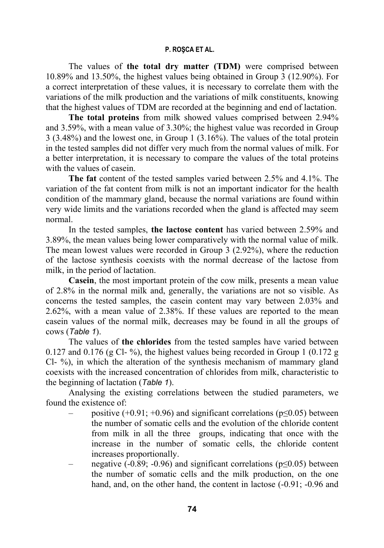### **P. ROŞCA ET AL.**

The values of **the total dry matter (TDM)** were comprised between 10.89% and 13.50%, the highest values being obtained in Group 3 (12.90%). For a correct interpretation of these values, it is necessary to correlate them with the variations of the milk production and the variations of milk constituents, knowing that the highest values of TDM are recorded at the beginning and end of lactation.

**The total proteins** from milk showed values comprised between 2.94% and 3.59%, with a mean value of 3.30%; the highest value was recorded in Group 3 (3.48%) and the lowest one, in Group 1 (3.16%). The values of the total protein in the tested samples did not differ very much from the normal values of milk. For a better interpretation, it is necessary to compare the values of the total proteins with the values of casein.

**The fat** content of the tested samples varied between 2.5% and 4.1%. The variation of the fat content from milk is not an important indicator for the health condition of the mammary gland, because the normal variations are found within very wide limits and the variations recorded when the gland is affected may seem normal.

In the tested samples, **the lactose content** has varied between 2.59% and 3.89%, the mean values being lower comparatively with the normal value of milk. The mean lowest values were recorded in Group 3 (2.92%), where the reduction of the lactose synthesis coexists with the normal decrease of the lactose from milk, in the period of lactation.

**Casein**, the most important protein of the cow milk, presents a mean value of 2.8% in the normal milk and, generally, the variations are not so visible. As concerns the tested samples, the casein content may vary between 2.03% and 2.62%, with a mean value of 2.38%. If these values are reported to the mean casein values of the normal milk, decreases may be found in all the groups of cows (*Table 1*).

The values of **the chlorides** from the tested samples have varied between 0.127 and 0.176 (g Cl- %), the highest values being recorded in Group 1 (0.172  $\alpha$ ) Cl- %), in which the alteration of the synthesis mechanism of mammary gland coexists with the increased concentration of chlorides from milk, characteristic to the beginning of lactation (*Table 1*).

Analysing the existing correlations between the studied parameters, we found the existence of:

- positive  $(+0.91; +0.96)$  and significant correlations ( $p \le 0.05$ ) between the number of somatic cells and the evolution of the chloride content from milk in all the three groups, indicating that once with the increase in the number of somatic cells, the chloride content increases proportionally.
- negative (-0.89; -0.96) and significant correlations ( $p \le 0.05$ ) between the number of somatic cells and the milk production, on the one hand, and, on the other hand, the content in lactose  $(-0.91, -0.96, -0.96)$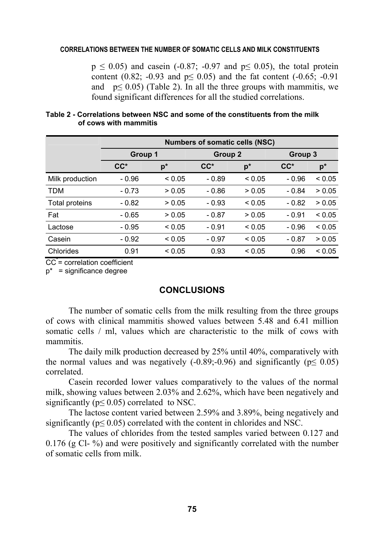### **CORRELATIONS BETWEEN THE NUMBER OF SOMATIC CELLS AND MILK CONSTITUENTS**

 $p \le 0.05$ ) and casein (-0.87; -0.97 and  $p \le 0.05$ ), the total protein content (0.82; -0.93 and  $p \le 0.05$ ) and the fat content (-0.65; -0.91 and  $p \le 0.05$ ) (Table 2). In all the three groups with mammitis, we found significant differences for all the studied correlations.

|                 | <b>Numbers of somatic cells (NSC)</b> |             |         |             |         |             |  |  |  |  |  |
|-----------------|---------------------------------------|-------------|---------|-------------|---------|-------------|--|--|--|--|--|
|                 | Group 1                               |             | Group 2 |             | Group 3 |             |  |  |  |  |  |
|                 | $CC^*$                                | $p^*$       | $CC^*$  | $p^*$       | $CC^*$  | $p^*$       |  |  |  |  |  |
| Milk production | - 0.96                                | ${}_{0.05}$ | $-0.89$ | ${}_{0.05}$ | $-0.96$ | < 0.05      |  |  |  |  |  |
| <b>TDM</b>      | $-0.73$                               | > 0.05      | $-0.86$ | > 0.05      | $-0.84$ | > 0.05      |  |  |  |  |  |
| Total proteins  | $-0.82$                               | > 0.05      | $-0.93$ | ${}_{0.05}$ | $-0.82$ | > 0.05      |  |  |  |  |  |
| Fat             | $-0.65$                               | > 0.05      | $-0.87$ | > 0.05      | $-0.91$ | ${}_{0.05}$ |  |  |  |  |  |
| Lactose         | - 0.95                                | ${}_{0.05}$ | $-0.91$ | ${}_{0.05}$ | $-0.96$ | ${}_{0.05}$ |  |  |  |  |  |
| Casein          | $-0.92$                               | ${}_{0.05}$ | $-0.97$ | ${}_{0.05}$ | $-0.87$ | > 0.05      |  |  |  |  |  |
| Chlorides       | 0.91                                  | ${}_{0.05}$ | 0.93    | ${}_{0.05}$ | 0.96    | ${}_{0.05}$ |  |  |  |  |  |

### **Table 2 - Correlations between NSC and some of the constituents from the milk of cows with mammitis**

CC<sup>\*</sup>= correlation coefficient

 $p^*$  = significance degree

## **CONCLUSIONS**

The number of somatic cells from the milk resulting from the three groups of cows with clinical mammitis showed values between 5.48 and 6.41 million somatic cells / ml, values which are characteristic to the milk of cows with mammitis.

The daily milk production decreased by 25% until 40%, comparatively with the normal values and was negatively  $(-0.89, -0.96)$  and significantly ( $p \le 0.05$ ) correlated.

Casein recorded lower values comparatively to the values of the normal milk, showing values between 2.03% and 2.62%, which have been negatively and significantly ( $p \le 0.05$ ) correlated to NSC.

The lactose content varied between 2.59% and 3.89%, being negatively and significantly ( $p \le 0.05$ ) correlated with the content in chlorides and NSC.

The values of chlorides from the tested samples varied between 0.127 and 0.176 (g Cl- %) and were positively and significantly correlated with the number of somatic cells from milk.